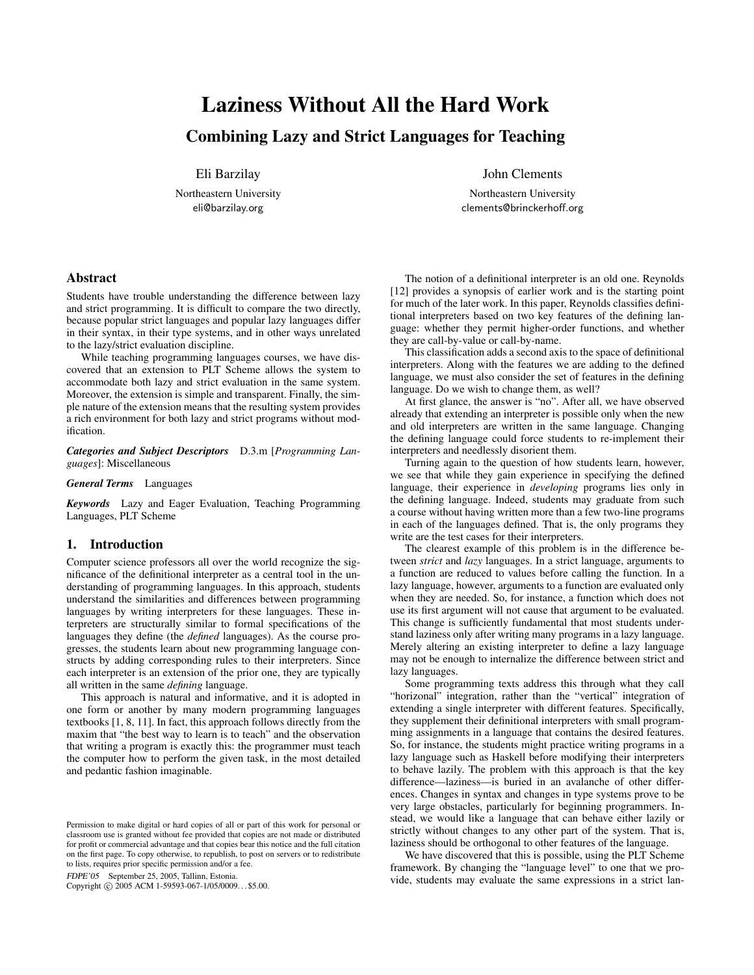# **Laziness Without All the Hard Work Combining Lazy and Strict Languages for Teaching**

Eli Barzilay

Northeastern University eli@barzilay.org

John Clements

Northeastern University clements@brinckerhoff.org

# **Abstract**

Students have trouble understanding the difference between lazy and strict programming. It is difficult to compare the two directly, because popular strict languages and popular lazy languages differ in their syntax, in their type systems, and in other ways unrelated to the lazy/strict evaluation discipline.

While teaching programming languages courses, we have discovered that an extension to PLT Scheme allows the system to accommodate both lazy and strict evaluation in the same system. Moreover, the extension is simple and transparent. Finally, the simple nature of the extension means that the resulting system provides a rich environment for both lazy and strict programs without modification.

*Categories and Subject Descriptors* D.3.m [*Programming Languages*]: Miscellaneous

*General Terms* Languages

*Keywords* Lazy and Eager Evaluation, Teaching Programming Languages, PLT Scheme

# **1. Introduction**

Computer science professors all over the world recognize the significance of the definitional interpreter as a central tool in the understanding of programming languages. In this approach, students understand the similarities and differences between programming languages by writing interpreters for these languages. These interpreters are structurally similar to formal specifications of the languages they define (the *defined* languages). As the course progresses, the students learn about new programming language constructs by adding corresponding rules to their interpreters. Since each interpreter is an extension of the prior one, they are typically all written in the same *defining* language.

This approach is natural and informative, and it is adopted in one form or another by many modern programming languages textbooks [1, 8, 11]. In fact, this approach follows directly from the maxim that "the best way to learn is to teach" and the observation that writing a program is exactly this: the programmer must teach the computer how to perform the given task, in the most detailed and pedantic fashion imaginable.

FDPE'05 September 25, 2005, Tallinn, Estonia.

Copyright © 2005 ACM 1-59593-067-1/05/0009... \$5.00.

The notion of a definitional interpreter is an old one. Reynolds [12] provides a synopsis of earlier work and is the starting point for much of the later work. In this paper, Reynolds classifies definitional interpreters based on two key features of the defining language: whether they permit higher-order functions, and whether they are call-by-value or call-by-name.

This classification adds a second axis to the space of definitional interpreters. Along with the features we are adding to the defined language, we must also consider the set of features in the defining language. Do we wish to change them, as well?

At first glance, the answer is "no". After all, we have observed already that extending an interpreter is possible only when the new and old interpreters are written in the same language. Changing the defining language could force students to re-implement their interpreters and needlessly disorient them.

Turning again to the question of how students learn, however, we see that while they gain experience in specifying the defined language, their experience in *developing* programs lies only in the defining language. Indeed, students may graduate from such a course without having written more than a few two-line programs in each of the languages defined. That is, the only programs they write are the test cases for their interpreters.

The clearest example of this problem is in the difference between *strict* and *lazy* languages. In a strict language, arguments to a function are reduced to values before calling the function. In a lazy language, however, arguments to a function are evaluated only when they are needed. So, for instance, a function which does not use its first argument will not cause that argument to be evaluated. This change is sufficiently fundamental that most students understand laziness only after writing many programs in a lazy language. Merely altering an existing interpreter to define a lazy language may not be enough to internalize the difference between strict and lazy languages.

Some programming texts address this through what they call "horizonal" integration, rather than the "vertical" integration of extending a single interpreter with different features. Specifically, they supplement their definitional interpreters with small programming assignments in a language that contains the desired features. So, for instance, the students might practice writing programs in a lazy language such as Haskell before modifying their interpreters to behave lazily. The problem with this approach is that the key difference—laziness—is buried in an avalanche of other differences. Changes in syntax and changes in type systems prove to be very large obstacles, particularly for beginning programmers. Instead, we would like a language that can behave either lazily or strictly without changes to any other part of the system. That is, laziness should be orthogonal to other features of the language.

We have discovered that this is possible, using the PLT Scheme framework. By changing the "language level" to one that we provide, students may evaluate the same expressions in a strict lan-

Permission to make digital or hard copies of all or part of this work for personal or classroom use is granted without fee provided that copies are not made or distributed for profit or commercial advantage and that copies bear this notice and the full citation on the first page. To copy otherwise, to republish, to post on servers or to redistribute to lists, requires prior specific permission and/or a fee.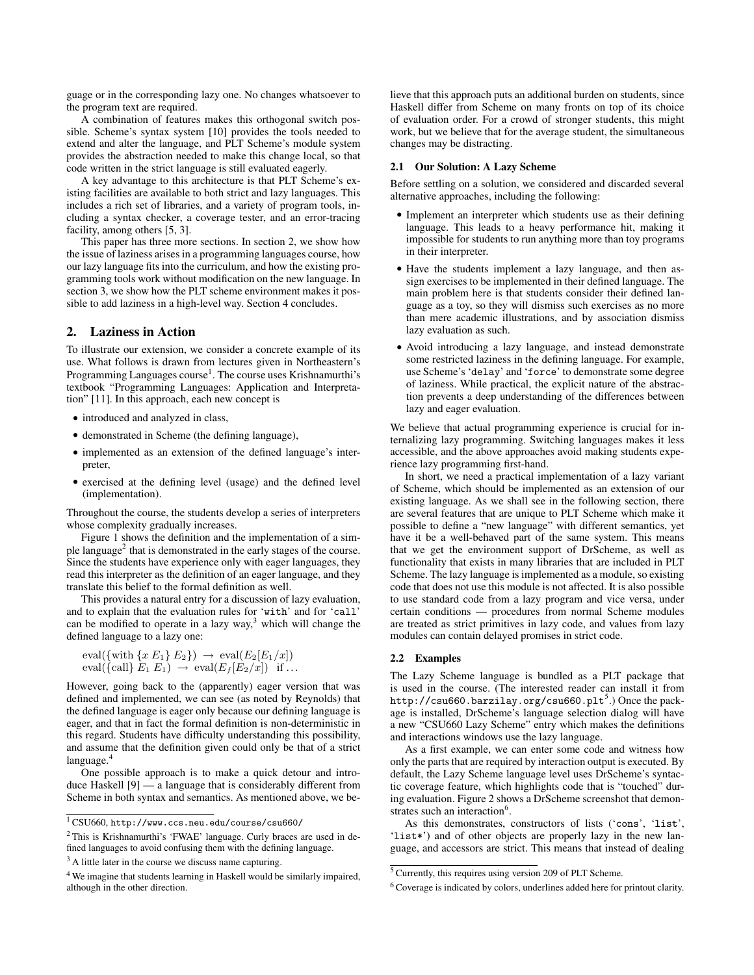guage or in the corresponding lazy one. No changes whatsoever to the program text are required.

A combination of features makes this orthogonal switch possible. Scheme's syntax system [10] provides the tools needed to extend and alter the language, and PLT Scheme's module system provides the abstraction needed to make this change local, so that code written in the strict language is still evaluated eagerly.

A key advantage to this architecture is that PLT Scheme's existing facilities are available to both strict and lazy languages. This includes a rich set of libraries, and a variety of program tools, including a syntax checker, a coverage tester, and an error-tracing facility, among others [5, 3].

This paper has three more sections. In section 2, we show how the issue of laziness arises in a programming languages course, how our lazy language fits into the curriculum, and how the existing programming tools work without modification on the new language. In section 3, we show how the PLT scheme environment makes it possible to add laziness in a high-level way. Section 4 concludes.

### **2. Laziness in Action**

To illustrate our extension, we consider a concrete example of its use. What follows is drawn from lectures given in Northeastern's Programming Languages course<sup>1</sup>. The course uses Krishnamurthi's textbook "Programming Languages: Application and Interpretation" [11]. In this approach, each new concept is

- introduced and analyzed in class,
- demonstrated in Scheme (the defining language),
- implemented as an extension of the defined language's interpreter,
- exercised at the defining level (usage) and the defined level (implementation).

Throughout the course, the students develop a series of interpreters whose complexity gradually increases.

Figure 1 shows the definition and the implementation of a simple language<sup>2</sup> that is demonstrated in the early stages of the course. Since the students have experience only with eager languages, they read this interpreter as the definition of an eager language, and they translate this belief to the formal definition as well.

This provides a natural entry for a discussion of lazy evaluation, and to explain that the evaluation rules for 'with' and for 'call' can be modified to operate in a lazy way, <sup>3</sup> which will change the defined language to a lazy one:

$$
\text{eval}(\{\text{with } \{x E_1\} E_2\}) \to \text{eval}(E_2[E_1/x])
$$
  

$$
\text{eval}(\{\text{call}\} E_1 E_1) \to \text{eval}(E_f[E_2/x]) \text{ if ...}
$$

However, going back to the (apparently) eager version that was defined and implemented, we can see (as noted by Reynolds) that the defined language is eager only because our defining language is eager, and that in fact the formal definition is non-deterministic in this regard. Students have difficulty understanding this possibility, and assume that the definition given could only be that of a strict  $language.<sup>4</sup>$ 

One possible approach is to make a quick detour and introduce Haskell [9] — a language that is considerably different from Scheme in both syntax and semantics. As mentioned above, we be-

<sup>2</sup> This is Krishnamurthi's 'FWAE' language. Curly braces are used in defined languages to avoid confusing them with the defining language.

lieve that this approach puts an additional burden on students, since Haskell differ from Scheme on many fronts on top of its choice of evaluation order. For a crowd of stronger students, this might work, but we believe that for the average student, the simultaneous changes may be distracting.

#### **2.1 Our Solution: A Lazy Scheme**

Before settling on a solution, we considered and discarded several alternative approaches, including the following:

- Implement an interpreter which students use as their defining language. This leads to a heavy performance hit, making it impossible for students to run anything more than toy programs in their interpreter.
- Have the students implement a lazy language, and then assign exercises to be implemented in their defined language. The main problem here is that students consider their defined language as a toy, so they will dismiss such exercises as no more than mere academic illustrations, and by association dismiss lazy evaluation as such.
- Avoid introducing a lazy language, and instead demonstrate some restricted laziness in the defining language. For example, use Scheme's 'delay' and 'force' to demonstrate some degree of laziness. While practical, the explicit nature of the abstraction prevents a deep understanding of the differences between lazy and eager evaluation.

We believe that actual programming experience is crucial for internalizing lazy programming. Switching languages makes it less accessible, and the above approaches avoid making students experience lazy programming first-hand.

In short, we need a practical implementation of a lazy variant of Scheme, which should be implemented as an extension of our existing language. As we shall see in the following section, there are several features that are unique to PLT Scheme which make it possible to define a "new language" with different semantics, yet have it be a well-behaved part of the same system. This means that we get the environment support of DrScheme, as well as functionality that exists in many libraries that are included in PLT Scheme. The lazy language is implemented as a module, so existing code that does not use this module is not affected. It is also possible to use standard code from a lazy program and vice versa, under certain conditions — procedures from normal Scheme modules are treated as strict primitives in lazy code, and values from lazy modules can contain delayed promises in strict code.

#### **2.2 Examples**

The Lazy Scheme language is bundled as a PLT package that is used in the course. (The interested reader can install it from <code>http://csu660.barzilay.org/csu660.plt $^5$ .</code>) Once the package is installed, DrScheme's language selection dialog will have a new "CSU660 Lazy Scheme" entry which makes the definitions and interactions windows use the lazy language.

As a first example, we can enter some code and witness how only the parts that are required by interaction output is executed. By default, the Lazy Scheme language level uses DrScheme's syntactic coverage feature, which highlights code that is "touched" during evaluation. Figure 2 shows a DrScheme screenshot that demonstrates such an interaction<sup>6</sup>.

As this demonstrates, constructors of lists ('cons', 'list', 'list\*') and of other objects are properly lazy in the new language, and accessors are strict. This means that instead of dealing

<sup>1</sup> CSU660, http://www.ccs.neu.edu/course/csu660/

<sup>&</sup>lt;sup>3</sup> A little later in the course we discuss name capturing.

<sup>4</sup> We imagine that students learning in Haskell would be similarly impaired, although in the other direction.

<sup>5</sup> Currently, this requires using version 209 of PLT Scheme.

<sup>6</sup> Coverage is indicated by colors, underlines added here for printout clarity.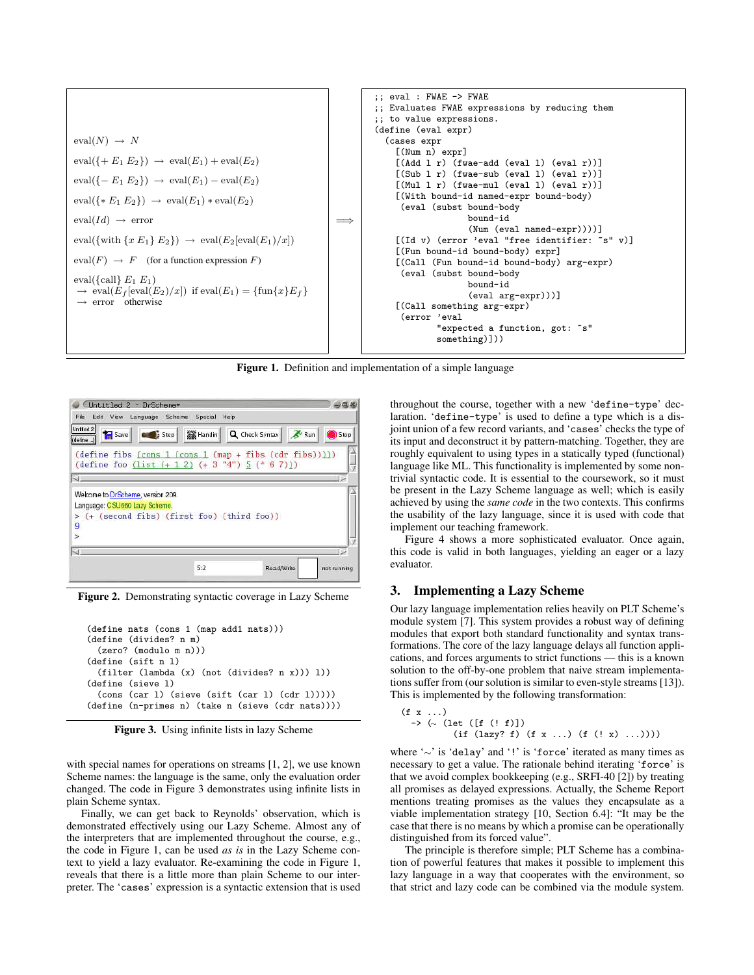

**Figure 1.** Definition and implementation of a simple language



**Figure 2.** Demonstrating syntactic coverage in Lazy Scheme

```
(define nats (cons 1 (map add1 nats)))
(define (divides? n m)
 (zero? (modulo m n)))
(define (sift n l)
 (filter (lambda (x) (not (divides? n x))) l))
(define (sieve l)
 (cons (car 1) (sieve (sift (car 1) (cdr 1))))(define (n-primes n) (take n (sieve (cdr nats))))
```
**Figure 3.** Using infinite lists in lazy Scheme

with special names for operations on streams [1, 2], we use known Scheme names: the language is the same, only the evaluation order changed. The code in Figure 3 demonstrates using infinite lists in plain Scheme syntax.

Finally, we can get back to Reynolds' observation, which is demonstrated effectively using our Lazy Scheme. Almost any of the interpreters that are implemented throughout the course, e.g., the code in Figure 1, can be used *as is* in the Lazy Scheme context to yield a lazy evaluator. Re-examining the code in Figure 1, reveals that there is a little more than plain Scheme to our interpreter. The 'cases' expression is a syntactic extension that is used

throughout the course, together with a new 'define-type' declaration. 'define-type' is used to define a type which is a disjoint union of a few record variants, and 'cases' checks the type of its input and deconstruct it by pattern-matching. Together, they are roughly equivalent to using types in a statically typed (functional) language like ML. This functionality is implemented by some nontrivial syntactic code. It is essential to the coursework, so it must be present in the Lazy Scheme language as well; which is easily achieved by using the *same code* in the two contexts. This confirms the usability of the lazy language, since it is used with code that implement our teaching framework.

Figure 4 shows a more sophisticated evaluator. Once again, this code is valid in both languages, yielding an eager or a lazy evaluator.

# **3. Implementing a Lazy Scheme**

Our lazy language implementation relies heavily on PLT Scheme's module system [7]. This system provides a robust way of defining modules that export both standard functionality and syntax transformations. The core of the lazy language delays all function applications, and forces arguments to strict functions — this is a known solution to the off-by-one problem that naive stream implementations suffer from (our solution is similar to even-style streams [13]). This is implemented by the following transformation:

$$
(f x ...)
$$
  
\n
$$
\rightarrow (\sim (let ([f ('f )])
$$
  
\n
$$
(if (lazy? f) (f x ...) (f ('x) ...))))
$$

where '∼' is 'delay' and '!' is 'force' iterated as many times as necessary to get a value. The rationale behind iterating 'force' is that we avoid complex bookkeeping (e.g., SRFI-40 [2]) by treating all promises as delayed expressions. Actually, the Scheme Report mentions treating promises as the values they encapsulate as a viable implementation strategy [10, Section 6.4]: "It may be the case that there is no means by which a promise can be operationally distinguished from its forced value".

The principle is therefore simple; PLT Scheme has a combination of powerful features that makes it possible to implement this lazy language in a way that cooperates with the environment, so that strict and lazy code can be combined via the module system.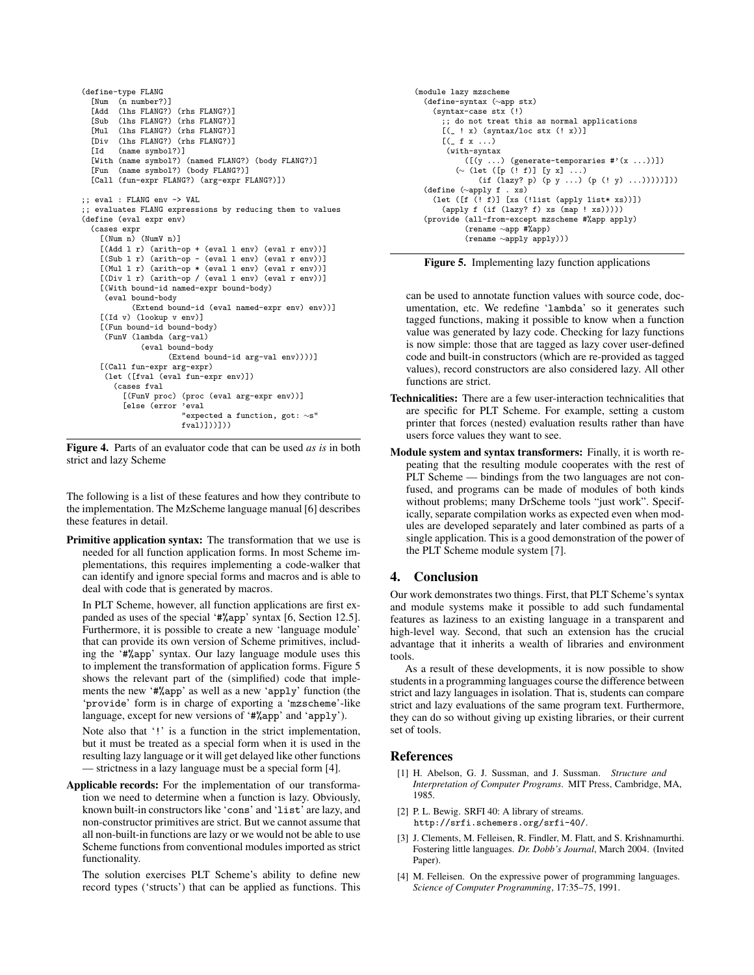```
(define-type FLANG
  [Num (n number?)]<br>[Add (lhs FLANG?)
  [Add (lhs FLANG?) (rhs FLANG?)]<br>[Sub (lhs FLANG?) (rhs FLANG?)]
        (hs FLANG?) (rhs FLANG?)]
  [Mul (lhs FLANG?) (rhs FLANG?)]
  [Div (lhs FLANG?) (rhs FLANG?)]
  [Id (name symbol?)]
  [With (name symbol?) (named FLANG?) (body FLANG?)]
  [Fun (name symbol?) (body FLANG?)]
  [Call (fun-expr FLANG?) (arg-expr FLANG?)])
;; eval : FLANG env -> VAL
;; evaluates FLANG expressions by reducing them to values
(define (eval expr env)
  (cases expr
    [(Num n) (NumV n)]
    [(Add 1 r) (arith-on + (eval 1 env) (eval r env))][(Sub 1 r) (arith-op - (eval 1 env) (eval r env))][(Mul 1 r) (arith-op * (eval 1 env) (eval r env))][(Div l r) (arith-op / (eval l env) (eval r env))]
    [(With bound-id named-expr bound-body)
     (eval bound-body
           (Extend bound-id (eval named-expr env) env))]
    [(Id v) (lookup v env)]
    [(Fun bound-id bound-body)
     (FunV (lambda (arg-val)
             (eval bound-body
                    (Extend bound-id arg-val env))))]
    [(Call fun-expr arg-expr)
     (let ([fval (eval fun-expr env)])
       (cases fval
         [(FunV proc) (proc (eval arg-expr env))]
         [else (error 'eval
                       "expected a function, got: ∼s"
                       fval)]))]))
```
**Figure 4.** Parts of an evaluator code that can be used *as is* in both strict and lazy Scheme

The following is a list of these features and how they contribute to the implementation. The MzScheme language manual [6] describes these features in detail.

**Primitive application syntax:** The transformation that we use is needed for all function application forms. In most Scheme implementations, this requires implementing a code-walker that can identify and ignore special forms and macros and is able to deal with code that is generated by macros.

In PLT Scheme, however, all function applications are first expanded as uses of the special '#%app' syntax [6, Section 12.5]. Furthermore, it is possible to create a new 'language module' that can provide its own version of Scheme primitives, including the '#%app' syntax. Our lazy language module uses this to implement the transformation of application forms. Figure 5 shows the relevant part of the (simplified) code that implements the new '#%app' as well as a new 'apply' function (the 'provide' form is in charge of exporting a 'mzscheme'-like language, except for new versions of '#%app' and 'apply').

Note also that '!' is a function in the strict implementation, but it must be treated as a special form when it is used in the resulting lazy language or it will get delayed like other functions — strictness in a lazy language must be a special form [4].

**Applicable records:** For the implementation of our transformation we need to determine when a function is lazy. Obviously, known built-in constructors like 'cons' and 'list' are lazy, and non-constructor primitives are strict. But we cannot assume that all non-built-in functions are lazy or we would not be able to use Scheme functions from conventional modules imported as strict functionality.

The solution exercises PLT Scheme's ability to define new record types ('structs') that can be applied as functions. This

```
(module lazy mzscheme
  (define-syntax (∼app stx)
    (syntax-case stx (!)
       .<br>:: do not treat this as normal applications
       [(-! x) (syntax/loc stx (! x))][(f x ...)
        (with-syntax
          ([(y ...) (generate-temporaries #'(x ...))])
(∼ (let ([p (! f)] [y x] ...)
               (if (lazy? p) (p \, y \, \ldots) (p \, (! \, y) \, \ldots)))))))))
  (define (∼apply f . xs)
(let ([f (! f)] [xs (!list (apply list* xs))])
       (apply f (if (lazy? f) xs (map ! xs)))))
  (provide (all-from-except mzscheme #%app apply)
             (rename ∼app #%app)
             (rename ∼apply apply)))
```


can be used to annotate function values with source code, documentation, etc. We redefine 'lambda' so it generates such tagged functions, making it possible to know when a function value was generated by lazy code. Checking for lazy functions is now simple: those that are tagged as lazy cover user-defined code and built-in constructors (which are re-provided as tagged values), record constructors are also considered lazy. All other functions are strict.

- **Technicalities:** There are a few user-interaction technicalities that are specific for PLT Scheme. For example, setting a custom printer that forces (nested) evaluation results rather than have users force values they want to see.
- **Module system and syntax transformers:** Finally, it is worth repeating that the resulting module cooperates with the rest of PLT Scheme — bindings from the two languages are not confused, and programs can be made of modules of both kinds without problems; many DrScheme tools "just work". Specifically, separate compilation works as expected even when modules are developed separately and later combined as parts of a single application. This is a good demonstration of the power of the PLT Scheme module system [7].

# **4. Conclusion**

Our work demonstrates two things. First, that PLT Scheme's syntax and module systems make it possible to add such fundamental features as laziness to an existing language in a transparent and high-level way. Second, that such an extension has the crucial advantage that it inherits a wealth of libraries and environment tools.

As a result of these developments, it is now possible to show students in a programming languages course the difference between strict and lazy languages in isolation. That is, students can compare strict and lazy evaluations of the same program text. Furthermore, they can do so without giving up existing libraries, or their current set of tools.

# **References**

- [1] H. Abelson, G. J. Sussman, and J. Sussman. *Structure and Interpretation of Computer Programs*. MIT Press, Cambridge, MA, 1985.
- [2] P. L. Bewig. SRFI 40: A library of streams. http://srfi.schemers.org/srfi-40/.
- [3] J. Clements, M. Felleisen, R. Findler, M. Flatt, and S. Krishnamurthi. Fostering little languages. *Dr. Dobb's Journal*, March 2004. (Invited Paper).
- [4] M. Felleisen. On the expressive power of programming languages. *Science of Computer Programming*, 17:35–75, 1991.